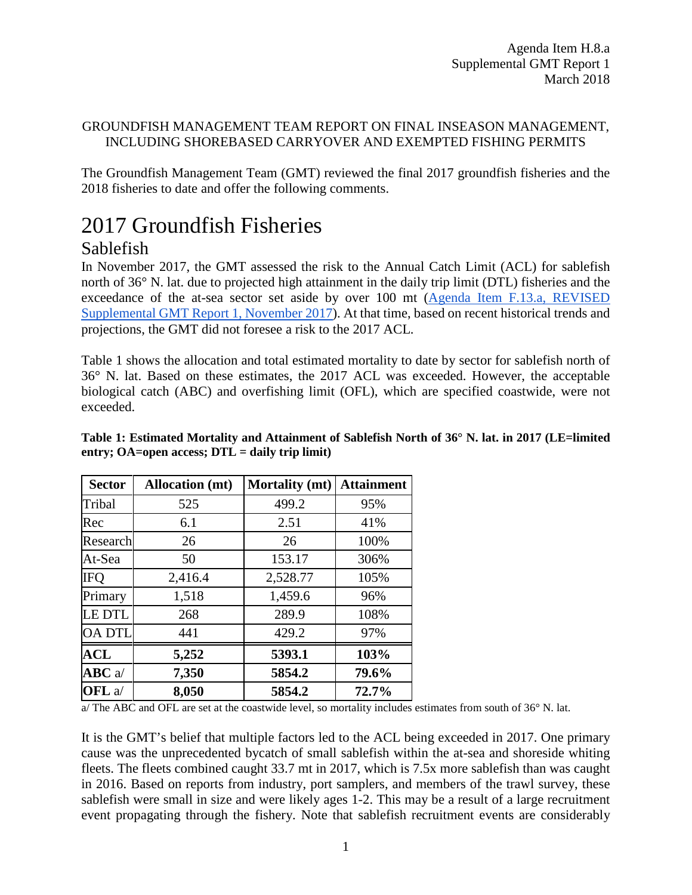### GROUNDFISH MANAGEMENT TEAM REPORT ON FINAL INSEASON MANAGEMENT, INCLUDING SHOREBASED CARRYOVER AND EXEMPTED FISHING PERMITS

The Groundfish Management Team (GMT) reviewed the final 2017 groundfish fisheries and the 2018 fisheries to date and offer the following comments.

# 2017 Groundfish Fisheries

## Sablefish

In November 2017, the GMT assessed the risk to the Annual Catch Limit (ACL) for sablefish north of 36° N. lat. due to projected high attainment in the daily trip limit (DTL) fisheries and the exceedance of the at-sea sector set aside by over 100 mt [\(Agenda Item F.13.a, REVISED](https://www.pcouncil.org/wp-content/uploads/2017/11/F13a_Sup_REVISED11.20.17_GMT_Rpt1_NOV2017BB.pdf)  [Supplemental GMT Report 1, November 2017\)](https://www.pcouncil.org/wp-content/uploads/2017/11/F13a_Sup_REVISED11.20.17_GMT_Rpt1_NOV2017BB.pdf). At that time, based on recent historical trends and projections, the GMT did not foresee a risk to the 2017 ACL.

Table 1 shows the allocation and total estimated mortality to date by sector for sablefish north of 36° N. lat. Based on these estimates, the 2017 ACL was exceeded. However, the acceptable biological catch (ABC) and overfishing limit (OFL), which are specified coastwide, were not exceeded.

| <b>Sector</b>  | <b>Allocation</b> (mt) | <b>Mortality</b> (mt) | <b>Attainment</b> |
|----------------|------------------------|-----------------------|-------------------|
| Tribal         | 525                    | 499.2                 | 95%               |
| Rec            | 6.1                    | 2.51                  | 41%               |
| Research       | 26                     | 26                    | 100%              |
| At-Sea         | 50                     | 153.17                | 306%              |
| <b>IFQ</b>     | 2,416.4                | 2,528.77              | 105%              |
| Primary        | 1,518                  | 1,459.6               | 96%               |
| <b>LE DTL</b>  | 268                    | 289.9                 | 108%              |
| <b>OA DTL</b>  | 441                    | 429.2                 | 97%               |
| <b>ACL</b>     | 5,252                  | 5393.1                | 103%              |
| $ABC$ a/       | 7,350                  | 5854.2                | 79.6%             |
| OFL a $\prime$ | 8,050                  | 5854.2                | 72.7%             |

### **Table 1: Estimated Mortality and Attainment of Sablefish North of 36° N. lat. in 2017 (LE=limited entry; OA=open access; DTL = daily trip limit)**

a/ The ABC and OFL are set at the coastwide level, so mortality includes estimates from south of 36° N. lat.

It is the GMT's belief that multiple factors led to the ACL being exceeded in 2017. One primary cause was the unprecedented bycatch of small sablefish within the at-sea and shoreside whiting fleets. The fleets combined caught 33.7 mt in 2017, which is 7.5x more sablefish than was caught in 2016. Based on reports from industry, port samplers, and members of the trawl survey, these sablefish were small in size and were likely ages 1-2. This may be a result of a large recruitment event propagating through the fishery. Note that sablefish recruitment events are considerably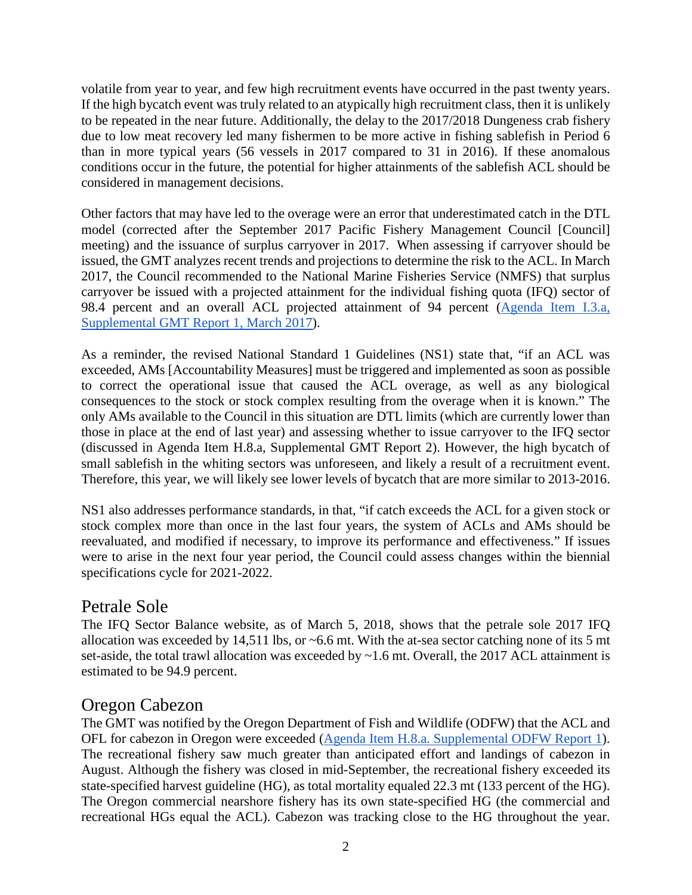volatile from year to year, and few high recruitment events have occurred in the past twenty years. If the high bycatch event was truly related to an atypically high recruitment class, then it is unlikely to be repeated in the near future. Additionally, the delay to the 2017/2018 Dungeness crab fishery due to low meat recovery led many fishermen to be more active in fishing sablefish in Period 6 than in more typical years (56 vessels in 2017 compared to 31 in 2016). If these anomalous conditions occur in the future, the potential for higher attainments of the sablefish ACL should be considered in management decisions.

Other factors that may have led to the overage were an error that underestimated catch in the DTL model (corrected after the September 2017 Pacific Fishery Management Council [Council] meeting) and the issuance of surplus carryover in 2017. When assessing if carryover should be issued, the GMT analyzes recent trends and projections to determine the risk to the ACL. In March 2017, the Council recommended to the National Marine Fisheries Service (NMFS) that surplus carryover be issued with a projected attainment for the individual fishing quota (IFQ) sector of 98.4 percent and an overall ACL projected attainment of 94 percent [\(Agenda Item I.3.a,](http://www.pcouncil.org/wp-content/uploads/2017/03/I3a_Sup_GMT_Rpt1_Carryover_Mar2017BB.pdf)  [Supplemental GMT Report 1, March 2017\)](http://www.pcouncil.org/wp-content/uploads/2017/03/I3a_Sup_GMT_Rpt1_Carryover_Mar2017BB.pdf).

As a reminder, the revised National Standard 1 Guidelines (NS1) state that, "if an ACL was exceeded, AMs [Accountability Measures] must be triggered and implemented as soon as possible to correct the operational issue that caused the ACL overage, as well as any biological consequences to the stock or stock complex resulting from the overage when it is known." The only AMs available to the Council in this situation are DTL limits (which are currently lower than those in place at the end of last year) and assessing whether to issue carryover to the IFQ sector (discussed in Agenda Item H.8.a, Supplemental GMT Report 2). However, the high bycatch of small sablefish in the whiting sectors was unforeseen, and likely a result of a recruitment event. Therefore, this year, we will likely see lower levels of bycatch that are more similar to 2013-2016.

NS1 also addresses performance standards, in that, "if catch exceeds the ACL for a given stock or stock complex more than once in the last four years, the system of ACLs and AMs should be reevaluated, and modified if necessary, to improve its performance and effectiveness." If issues were to arise in the next four year period, the Council could assess changes within the biennial specifications cycle for 2021-2022.

## Petrale Sole

The IFQ Sector Balance website, as of March 5, 2018, shows that the petrale sole 2017 IFQ allocation was exceeded by 14,511 lbs, or ~6.6 mt. With the at-sea sector catching none of its 5 mt set-aside, the total trawl allocation was exceeded by ~1.6 mt. Overall, the 2017 ACL attainment is estimated to be 94.9 percent.

## Oregon Cabezon

The GMT was notified by the Oregon Department of Fish and Wildlife (ODFW) that the ACL and OFL for cabezon in Oregon were exceeded [\(Agenda Item H.8.a. Supplemental ODFW Report 1\)](https://www.pcouncil.org/wp-content/uploads/2018/03/H8a_Sup_ODFW_Rpt1_inseason_actions_Mar2018BB.pdf). The recreational fishery saw much greater than anticipated effort and landings of cabezon in August. Although the fishery was closed in mid-September, the recreational fishery exceeded its state-specified harvest guideline (HG), as total mortality equaled 22.3 mt (133 percent of the HG). The Oregon commercial nearshore fishery has its own state-specified HG (the commercial and recreational HGs equal the ACL). Cabezon was tracking close to the HG throughout the year.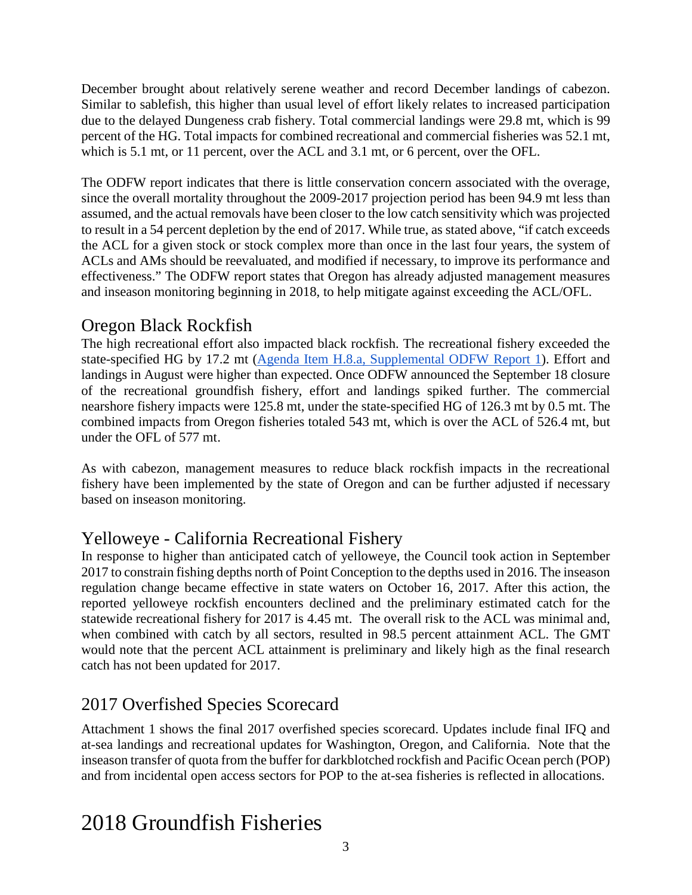December brought about relatively serene weather and record December landings of cabezon. Similar to sablefish, this higher than usual level of effort likely relates to increased participation due to the delayed Dungeness crab fishery. Total commercial landings were 29.8 mt, which is 99 percent of the HG. Total impacts for combined recreational and commercial fisheries was 52.1 mt, which is 5.1 mt, or 11 percent, over the ACL and 3.1 mt, or 6 percent, over the OFL.

The ODFW report indicates that there is little conservation concern associated with the overage, since the overall mortality throughout the 2009-2017 projection period has been 94.9 mt less than assumed, and the actual removals have been closer to the low catch sensitivity which was projected to result in a 54 percent depletion by the end of 2017. While true, as stated above, "if catch exceeds the ACL for a given stock or stock complex more than once in the last four years, the system of ACLs and AMs should be reevaluated, and modified if necessary, to improve its performance and effectiveness." The ODFW report states that Oregon has already adjusted management measures and inseason monitoring beginning in 2018, to help mitigate against exceeding the ACL/OFL.

## Oregon Black Rockfish

The high recreational effort also impacted black rockfish. The recreational fishery exceeded the state-specified HG by 17.2 mt [\(Agenda Item H.8.a, Supplemental ODFW Report 1\)](https://www.pcouncil.org/wp-content/uploads/2018/03/H8a_Sup_ODFW_Rpt1_inseason_actions_Mar2018BB.pdf). Effort and landings in August were higher than expected. Once ODFW announced the September 18 closure of the recreational groundfish fishery, effort and landings spiked further. The commercial nearshore fishery impacts were 125.8 mt, under the state-specified HG of 126.3 mt by 0.5 mt. The combined impacts from Oregon fisheries totaled 543 mt, which is over the ACL of 526.4 mt, but under the OFL of 577 mt.

As with cabezon, management measures to reduce black rockfish impacts in the recreational fishery have been implemented by the state of Oregon and can be further adjusted if necessary based on inseason monitoring.

## Yelloweye - California Recreational Fishery

In response to higher than anticipated catch of yelloweye, the Council took action in September 2017 to constrain fishing depths north of Point Conception to the depths used in 2016. The inseason regulation change became effective in state waters on October 16, 2017. After this action, the reported yelloweye rockfish encounters declined and the preliminary estimated catch for the statewide recreational fishery for 2017 is 4.45 mt. The overall risk to the ACL was minimal and, when combined with catch by all sectors, resulted in 98.5 percent attainment ACL. The GMT would note that the percent ACL attainment is preliminary and likely high as the final research catch has not been updated for 2017.

# 2017 Overfished Species Scorecard

Attachment 1 shows the final 2017 overfished species scorecard. Updates include final IFQ and at-sea landings and recreational updates for Washington, Oregon, and California. Note that the inseason transfer of quota from the buffer for darkblotched rockfish and Pacific Ocean perch (POP) and from incidental open access sectors for POP to the at-sea fisheries is reflected in allocations.

# 2018 Groundfish Fisheries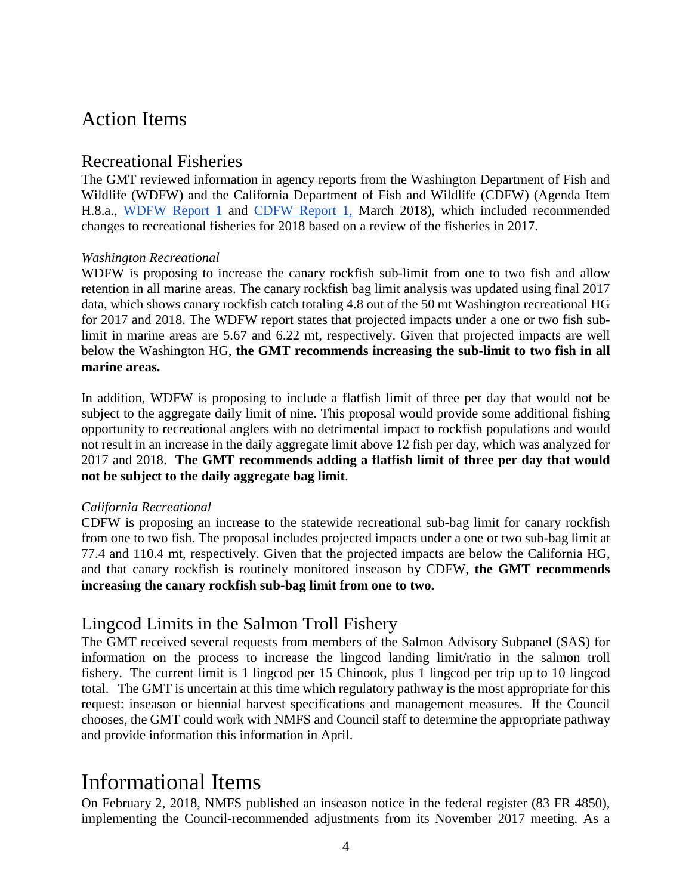# Action Items

### Recreational Fisheries

The GMT reviewed information in agency reports from the Washington Department of Fish and Wildlife (WDFW) and the California Department of Fish and Wildlife (CDFW) (Agenda Item H.8.a., [WDFW Report 1](https://www.pcouncil.org/wp-content/uploads/2018/02/H8a_WDFW_Rpt1_Inseason_MAR2018BB.pdf) and [CDFW Report 1,](https://www.pcouncil.org/wp-content/uploads/2018/02/H8a_CDFW_Rpt1_Inseason_MAR2018BB.pdf) March 2018), which included recommended changes to recreational fisheries for 2018 based on a review of the fisheries in 2017.

#### *Washington Recreational*

WDFW is proposing to increase the canary rockfish sub-limit from one to two fish and allow retention in all marine areas. The canary rockfish bag limit analysis was updated using final 2017 data, which shows canary rockfish catch totaling 4.8 out of the 50 mt Washington recreational HG for 2017 and 2018. The WDFW report states that projected impacts under a one or two fish sublimit in marine areas are 5.67 and 6.22 mt, respectively. Given that projected impacts are well below the Washington HG, **the GMT recommends increasing the sub-limit to two fish in all marine areas.** 

In addition, WDFW is proposing to include a flatfish limit of three per day that would not be subject to the aggregate daily limit of nine. This proposal would provide some additional fishing opportunity to recreational anglers with no detrimental impact to rockfish populations and would not result in an increase in the daily aggregate limit above 12 fish per day, which was analyzed for 2017 and 2018. **The GMT recommends adding a flatfish limit of three per day that would not be subject to the daily aggregate bag limit**.

#### *California Recreational*

CDFW is proposing an increase to the statewide recreational sub-bag limit for canary rockfish from one to two fish. The proposal includes projected impacts under a one or two sub-bag limit at 77.4 and 110.4 mt, respectively. Given that the projected impacts are below the California HG, and that canary rockfish is routinely monitored inseason by CDFW, **the GMT recommends increasing the canary rockfish sub-bag limit from one to two.** 

## Lingcod Limits in the Salmon Troll Fishery

The GMT received several requests from members of the Salmon Advisory Subpanel (SAS) for information on the process to increase the lingcod landing limit/ratio in the salmon troll fishery. The current limit is 1 lingcod per 15 Chinook, plus 1 lingcod per trip up to 10 lingcod total. The GMT is uncertain at this time which regulatory pathway is the most appropriate for this request: inseason or biennial harvest specifications and management measures. If the Council chooses, the GMT could work with NMFS and Council staff to determine the appropriate pathway and provide information this information in April.

# Informational Items

On February 2, 2018, NMFS published an inseason notice in the federal register (83 FR 4850), implementing the Council-recommended adjustments from its November 2017 meeting. As a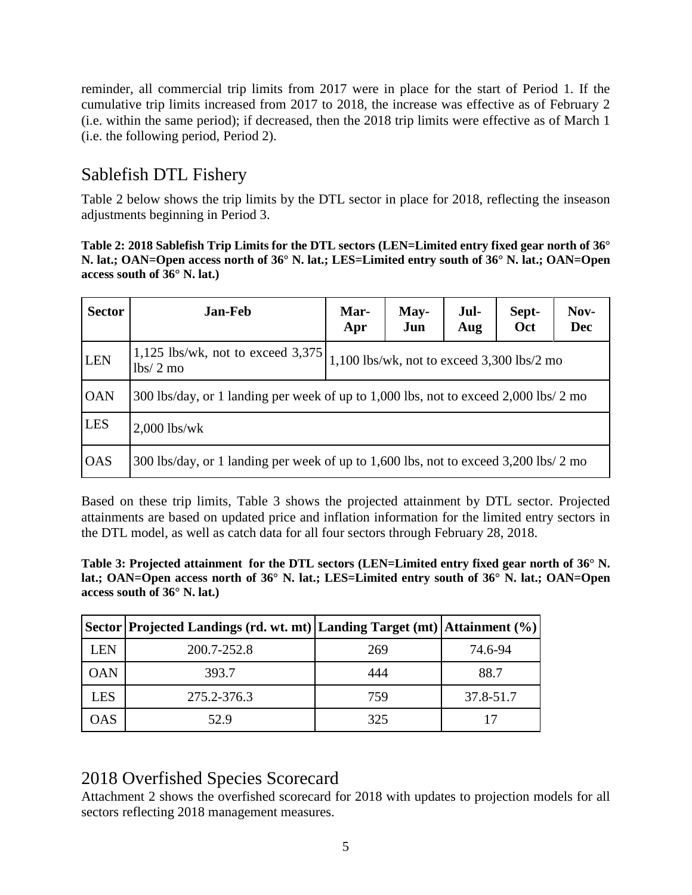reminder, all commercial trip limits from 2017 were in place for the start of Period 1. If the cumulative trip limits increased from 2017 to 2018, the increase was effective as of February 2 (i.e. within the same period); if decreased, then the 2018 trip limits were effective as of March 1 (i.e. the following period, Period 2).

## Sablefish DTL Fishery

Table 2 below shows the trip limits by the DTL sector in place for 2018, reflecting the inseason adjustments beginning in Period 3.

**Table 2: 2018 Sablefish Trip Limits for the DTL sectors (LEN=Limited entry fixed gear north of 36° N. lat.; OAN=Open access north of 36° N. lat.; LES=Limited entry south of 36° N. lat.; OAN=Open access south of 36° N. lat.)**

| <b>Sector</b> | <b>Jan-Feb</b>                                                                       | Mar-<br>Apr                                | May-<br>Jun | Jul-<br>Aug | Sept-<br>Oct | Nov-<br><b>Dec</b> |  |  |
|---------------|--------------------------------------------------------------------------------------|--------------------------------------------|-------------|-------------|--------------|--------------------|--|--|
| <b>LEN</b>    | 1,125 lbs/wk, not to exceed $3,375$<br>$lbs/2$ mo                                    | 1,100 lbs/wk, not to exceed 3,300 lbs/2 mo |             |             |              |                    |  |  |
| <b>OAN</b>    | 300 lbs/day, or 1 landing per week of up to 1,000 lbs, not to exceed 2,000 lbs/ 2 mo |                                            |             |             |              |                    |  |  |
| <b>LES</b>    | $2,000$ lbs/wk                                                                       |                                            |             |             |              |                    |  |  |
| <b>OAS</b>    | 300 lbs/day, or 1 landing per week of up to 1,600 lbs, not to exceed 3,200 lbs/ 2 mo |                                            |             |             |              |                    |  |  |

Based on these trip limits, Table 3 shows the projected attainment by DTL sector. Projected attainments are based on updated price and inflation information for the limited entry sectors in the DTL model, as well as catch data for all four sectors through February 28, 2018.

**Table 3: Projected attainment for the DTL sectors (LEN=Limited entry fixed gear north of 36° N. lat.; OAN=Open access north of 36° N. lat.; LES=Limited entry south of 36° N. lat.; OAN=Open access south of 36° N. lat.)**

|            | Sector   Projected Landings (rd. wt. mt)   Landing Target (mt)   Attainment (%) |     |           |
|------------|---------------------------------------------------------------------------------|-----|-----------|
| LEN        | 200.7-252.8                                                                     | 269 | 74.6-94   |
| <b>OAN</b> | 393.7                                                                           | 444 | 88.7      |
| <b>LES</b> | 275.2-376.3                                                                     | 759 | 37.8-51.7 |
| OAS        | 52.9                                                                            | 325 |           |

## 2018 Overfished Species Scorecard

Attachment 2 shows the overfished scorecard for 2018 with updates to projection models for all sectors reflecting 2018 management measures.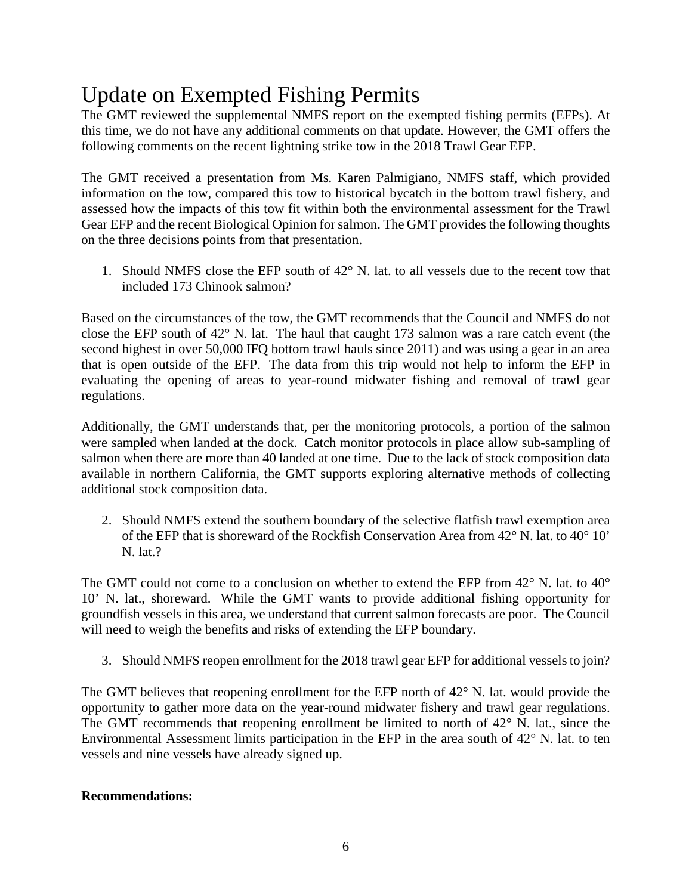# Update on Exempted Fishing Permits

The GMT reviewed the supplemental NMFS report on the exempted fishing permits (EFPs). At this time, we do not have any additional comments on that update. However, the GMT offers the following comments on the recent lightning strike tow in the 2018 Trawl Gear EFP.

The GMT received a presentation from Ms. Karen Palmigiano, NMFS staff, which provided information on the tow, compared this tow to historical bycatch in the bottom trawl fishery, and assessed how the impacts of this tow fit within both the environmental assessment for the Trawl Gear EFP and the recent Biological Opinion for salmon. The GMT provides the following thoughts on the three decisions points from that presentation.

1. Should NMFS close the EFP south of 42° N. lat. to all vessels due to the recent tow that included 173 Chinook salmon?

Based on the circumstances of the tow, the GMT recommends that the Council and NMFS do not close the EFP south of 42° N. lat. The haul that caught 173 salmon was a rare catch event (the second highest in over 50,000 IFQ bottom trawl hauls since 2011) and was using a gear in an area that is open outside of the EFP. The data from this trip would not help to inform the EFP in evaluating the opening of areas to year-round midwater fishing and removal of trawl gear regulations.

Additionally, the GMT understands that, per the monitoring protocols, a portion of the salmon were sampled when landed at the dock. Catch monitor protocols in place allow sub-sampling of salmon when there are more than 40 landed at one time. Due to the lack of stock composition data available in northern California, the GMT supports exploring alternative methods of collecting additional stock composition data.

2. Should NMFS extend the southern boundary of the selective flatfish trawl exemption area of the EFP that is shoreward of the Rockfish Conservation Area from  $42^{\circ}$  N. lat. to  $40^{\circ}$  10' N. lat.?

The GMT could not come to a conclusion on whether to extend the EFP from  $42^{\circ}$  N. lat. to  $40^{\circ}$ 10' N. lat., shoreward. While the GMT wants to provide additional fishing opportunity for groundfish vessels in this area, we understand that current salmon forecasts are poor. The Council will need to weigh the benefits and risks of extending the EFP boundary.

3. Should NMFS reopen enrollment for the 2018 trawl gear EFP for additional vessels to join?

The GMT believes that reopening enrollment for the EFP north of 42<sup>°</sup> N. lat. would provide the opportunity to gather more data on the year-round midwater fishery and trawl gear regulations. The GMT recommends that reopening enrollment be limited to north of 42° N. lat., since the Environmental Assessment limits participation in the EFP in the area south of 42° N. lat. to ten vessels and nine vessels have already signed up.

### **Recommendations:**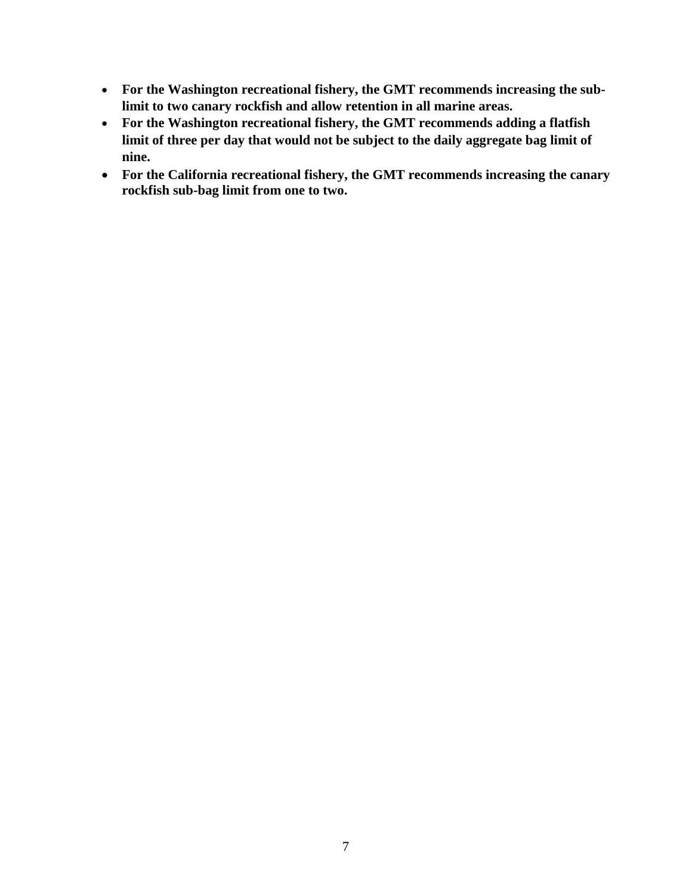- **For the Washington recreational fishery, the GMT recommends increasing the sublimit to two canary rockfish and allow retention in all marine areas.**
- **For the Washington recreational fishery, the GMT recommends adding a flatfish limit of three per day that would not be subject to the daily aggregate bag limit of nine.**
- **For the California recreational fishery, the GMT recommends increasing the canary rockfish sub-bag limit from one to two.**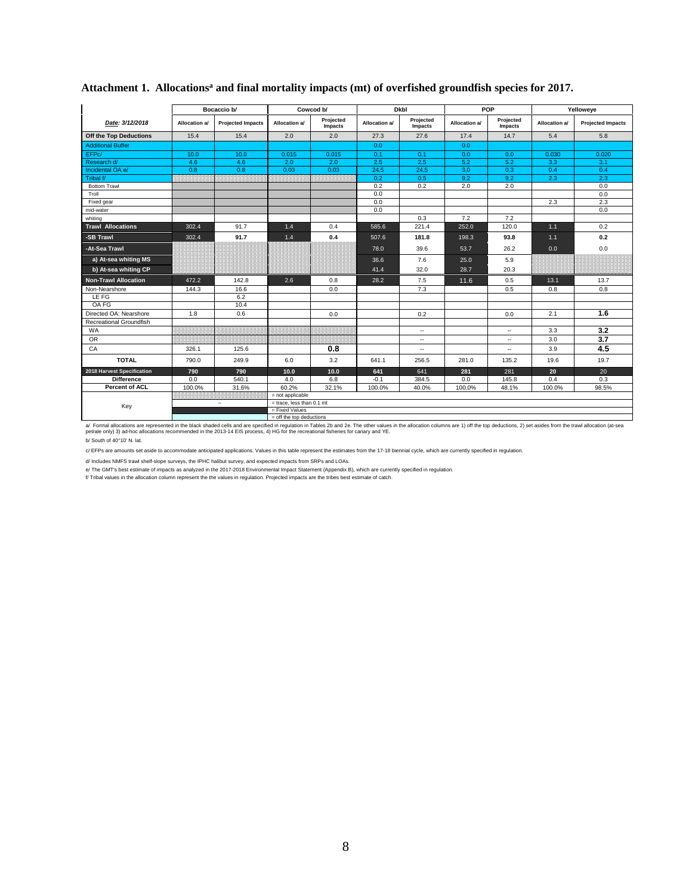|                             |               | Bocaccio b/              |                             | Cowcod b/<br><b>Dkbl</b> |               |                          |               | POP                      | Yelloweye     |                          |  |
|-----------------------------|---------------|--------------------------|-----------------------------|--------------------------|---------------|--------------------------|---------------|--------------------------|---------------|--------------------------|--|
| Date: 3/12/2018             | Allocation a/ | <b>Projected Impacts</b> | Allocation a/               | Projected<br>Impacts     | Allocation a/ | Projected<br>Impacts     | Allocation a/ | Projected<br>Impacts     | Allocation a/ | <b>Projected Impacts</b> |  |
| Off the Top Deductions      | 15.4          | 15.4                     | 2.0                         | 2.0                      | 27.3          | 27.6                     | 17.4          | 14.7                     | 5.4           | 5.8                      |  |
| <b>Additional Buffer</b>    |               |                          |                             |                          | 0.0           |                          | 0.0           |                          |               |                          |  |
| EFPc/                       | 10.0          | 10.0                     | 0.015                       | 0.015                    | 0.1           | 0.1                      | 0.0           | 0.0                      | 0.030         | 0.020                    |  |
| Research d/                 | 4.6           | 4.6                      | 2.0                         | 2.0                      | 2.5           | 2.5                      | 5.2           | 5.2                      | 3.3           | 3.1                      |  |
| Incidental OA e/            | 0.8           | 0.8                      | 0.03                        | 0.03                     | 24.5          | 24.5                     | 3.0           | 0.3                      | 0.4           | 0.4                      |  |
| Tribal f/                   |               |                          |                             |                          | 0.2           | 0.5                      | 9.2           | 9.2                      | 2.3           | 2.3                      |  |
| <b>Bottom Trawl</b>         |               |                          |                             |                          | 0.2           | 0.2                      | 2.0           | 2.0                      |               | 0.0                      |  |
| Troll                       |               |                          |                             |                          | 0.0           |                          |               |                          |               | 0.0                      |  |
| Fixed gear                  |               |                          |                             |                          | 0.0           |                          |               |                          | 2.3           | 2.3                      |  |
| mid-water                   |               |                          |                             |                          | 0.0           |                          |               |                          |               | 0.0                      |  |
| whiting                     |               |                          |                             |                          |               | 0.3                      | 7.2           | 7.2                      |               |                          |  |
| <b>Trawl Allocations</b>    | 302.4         | 91.7                     | 1.4                         | 0.4                      | 585.6         | 221.4                    | 252.0         | 120.0                    | 1.1           | 0.2                      |  |
| -SB Trawl                   | 302.4         | 91.7                     | 1.4                         | 0.4                      | 507.6         | 181.8                    | 198.3         | 93.8                     | $1.1$         | 0.2                      |  |
| -At-Sea Trawl               |               |                          |                             |                          | 78.0          | 39.6                     | 53.7          | 26.2                     | 0.0           | 0.0                      |  |
| a) At-sea whiting MS        |               |                          |                             |                          | 36.6          | 7.6                      | 25.0          | 5.9                      |               |                          |  |
| b) At-sea whiting CP        |               |                          |                             |                          | 41.4          | 32.0                     | 28.7          | 20.3                     |               |                          |  |
| <b>Non-Trawl Allocation</b> | 472.2         | 142.8                    | 2.6                         | 0.8                      | 28.2          | 7.5                      | 11.6          | 0.5                      | 13.1          | 13.7                     |  |
| Non-Nearshore               | 144.3         | 16.6                     |                             | 0.0                      |               | 7.3                      |               | 0.5                      | 0.8           | 0.8                      |  |
| LE FG                       |               | 6.2                      |                             |                          |               |                          |               |                          |               |                          |  |
| OA FG                       |               | 10.4                     |                             |                          |               |                          |               |                          |               |                          |  |
| Directed OA: Nearshore      | 1.8           | 0.6                      |                             | 0.0                      |               | 0.2                      |               | 0.0                      | 2.1           | 1.6                      |  |
| Recreational Groundfish     |               |                          |                             |                          |               |                          |               |                          |               |                          |  |
| <b>WA</b>                   |               |                          |                             |                          |               | $\overline{\phantom{a}}$ |               | $\sim$                   | 3.3           | 3.2                      |  |
| <b>OR</b>                   |               |                          |                             |                          |               | $\overline{\phantom{a}}$ |               | $\overline{\phantom{a}}$ | 3.0           | $\overline{3.7}$         |  |
| CA                          | 326.1         | 125.6                    |                             | 0.8                      |               | $\overline{\phantom{a}}$ |               | ۰.                       | 3.9           | 4.5                      |  |
| <b>TOTAL</b>                | 790.0         | 249.9                    | 6.0                         | 3.2                      | 641.1         | 256.5                    | 281.0         | 135.2                    | 19.6          | 19.7                     |  |
| 2018 Harvest Specification  | 790           | 790                      | 10.0                        | 10.0                     | 641           | 641                      | 281           | 281                      | 20            | 20                       |  |
| <b>Difference</b>           | 0.0           | 540.1                    | 4.0                         | 6.8                      | $-0.1$        | 384.5                    | 0.0           | 145.8                    | 0.4           | 0.3                      |  |
| <b>Percent of ACL</b>       | 100.0%        | 31.6%                    | 60.2%                       | 32.1%                    | 100.0%        | 40.0%                    | 100.0%        | 48.1%                    | 100.0%        | 98.5%                    |  |
|                             |               |                          | $=$ not applicable          |                          |               |                          |               |                          |               |                          |  |
| Key                         |               | $\overline{\phantom{a}}$ | $=$ trace. less than 0.1 mt |                          |               |                          |               |                          |               |                          |  |
|                             |               |                          | = Fixed Values              |                          |               |                          |               |                          |               |                          |  |
|                             |               |                          | $=$ off the top deductions  |                          |               |                          |               |                          |               |                          |  |

#### Attachment 1. Allocations<sup>a</sup> and final mortality impacts (mt) of overfished groundfish species for 2017.

e off the top deductions are represented in the black shaded cells and are specified in regulation in Tables 2b and 2e. The other values in the allocation columns are 1) off the top deductions, 2) set asides from the trawl

b/ South of 40°10' N. lat.

c/ EFPs are amounts set aside to accommodate anticipated applications. Values in this table represent the estimates from the 17-18 biennial cycle, which are currently specified in regulation.

d/ Includes NMFS trawl shelf-slope surveys, the IPHC halibut survey, and expected impacts from SRPs and LOAs.

e/ The GMT's best estimate of impacts as analyzed in the 2017-2018 Environmental Impact Statement (Appendix B), which are currently specified in regulation.<br>f/ Tribal values in the allocation column represent the the value